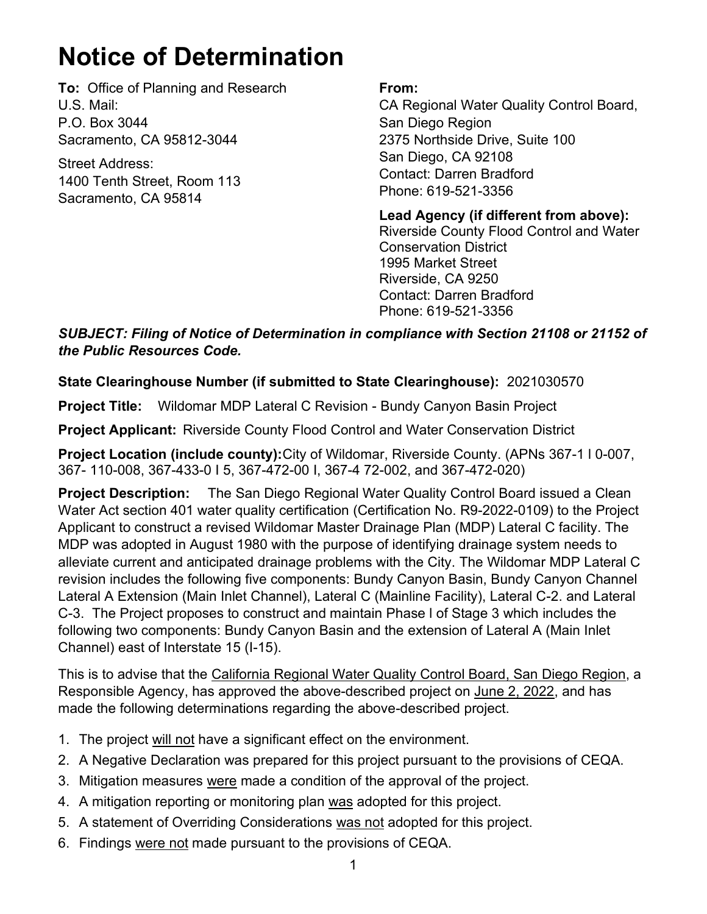## **Notice of Determination**

**To:** Office of Planning and Research U.S. Mail: P.O. Box 3044 Sacramento, CA 95812-3044

Street Address: 1400 Tenth Street, Room 113 Sacramento, CA 95814

## **From:**

CA Regional Water Quality Control Board, San Diego Region 2375 Northside Drive, Suite 100 San Diego, CA 92108 Contact: Darren Bradford Phone: 619-521-3356

**Lead Agency (if different from above):** Riverside County Flood Control and Water Conservation District 1995 Market Street Riverside, CA 9250 Contact: Darren Bradford Phone: 619-521-3356

*SUBJECT: Filing of Notice of Determination in compliance with Section 21108 or 21152 of the Public Resources Code.*

## **State Clearinghouse Number (if submitted to State Clearinghouse):** 2021030570

**Project Title:** Wildomar MDP Lateral C Revision - Bundy Canyon Basin Project

**Project Applicant:** Riverside County Flood Control and Water Conservation District

**Project Location (include county):**City of Wildomar, Riverside County. (APNs 367-1 l 0-007, 367- 110-008, 367-433-0 I 5, 367-472-00 I, 367-4 72-002, and 367-472-020)

**Project Description:** The San Diego Regional Water Quality Control Board issued a Clean Water Act section 401 water quality certification (Certification No. R9-2022-0109) to the Project Applicant to construct a revised Wildomar Master Drainage Plan (MDP) Lateral C facility. The MDP was adopted in August 1980 with the purpose of identifying drainage system needs to alleviate current and anticipated drainage problems with the City. The Wildomar MDP Lateral C revision includes the following five components: Bundy Canyon Basin, Bundy Canyon Channel Lateral A Extension (Main Inlet Channel), Lateral C (Mainline Facility), Lateral C-2. and Lateral C-3. The Project proposes to construct and maintain Phase l of Stage 3 which includes the following two components: Bundy Canyon Basin and the extension of Lateral A (Main Inlet Channel) east of Interstate 15 (I-15).

This is to advise that the California Regional Water Quality Control Board, San Diego Region, a Responsible Agency, has approved the above-described project on June 2, 2022, and has made the following determinations regarding the above-described project.

- 1. The project will not have a significant effect on the environment.
- 2. A Negative Declaration was prepared for this project pursuant to the provisions of CEQA.
- 3. Mitigation measures were made a condition of the approval of the project.
- 4. A mitigation reporting or monitoring plan was adopted for this project.
- 5. A statement of Overriding Considerations was not adopted for this project.
- 6. Findings were not made pursuant to the provisions of CEQA.